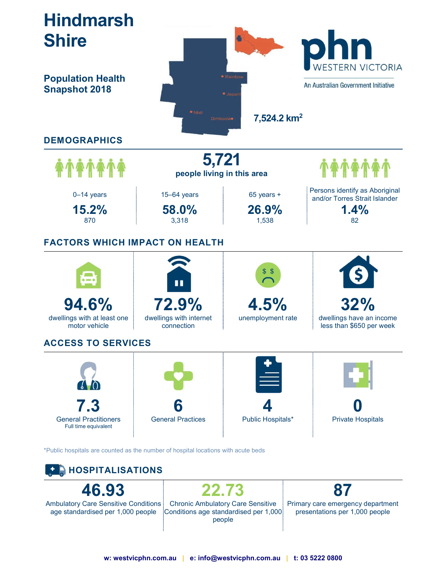